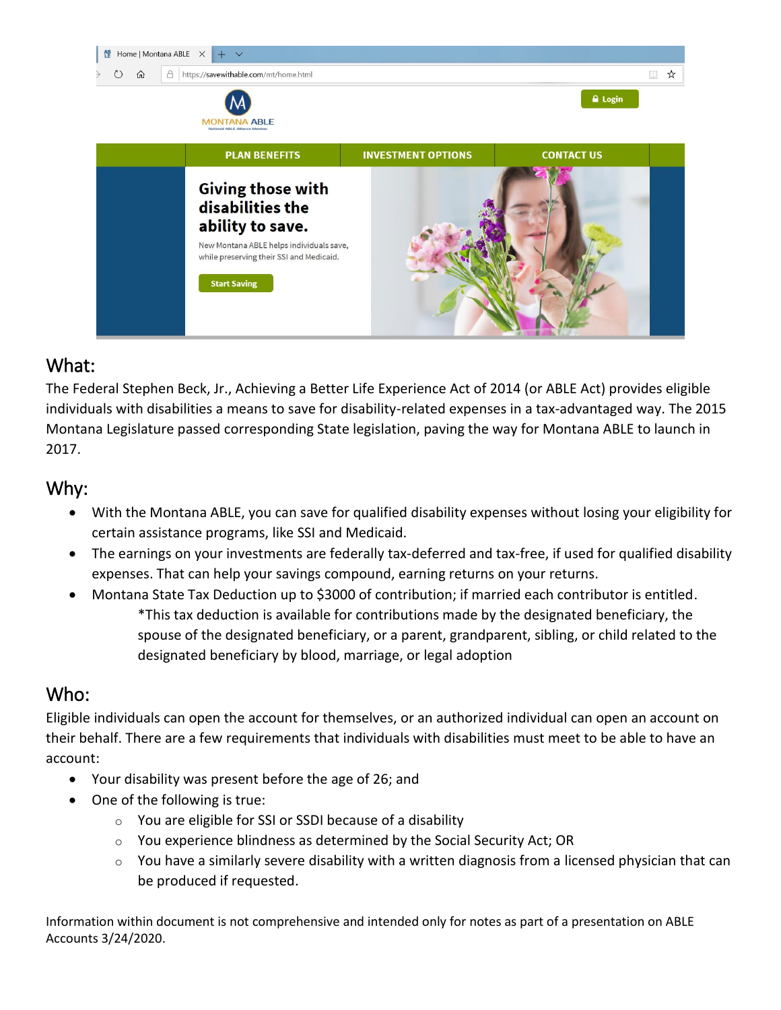

## What:

The Federal Stephen Beck, Jr., Achieving a Better Life Experience Act of 2014 (or ABLE Act) provides eligible individuals with disabilities a means to save for disability-related expenses in a tax-advantaged way. The 2015 Montana Legislature passed corresponding State legislation, paving the way for Montana ABLE to launch in 2017.

### Why:

- With the Montana ABLE, you can save for qualified disability expenses without losing your eligibility for certain assistance programs, like SSI and Medicaid.
- The earnings on your investments are federally tax-deferred and tax-free, if used for qualified disability expenses. That can help your savings compound, earning returns on your returns.
- Montana State Tax Deduction up to \$3000 of contribution; if married each contributor is entitled. \*This tax deduction is available for contributions made by the designated beneficiary, the spouse of the designated beneficiary, or a parent, grandparent, sibling, or child related to the designated beneficiary by blood, marriage, or legal adoption

## Who:

Eligible individuals can open the account for themselves, or an authorized individual can open an account on their behalf. There are a few requirements that individuals with disabilities must meet to be able to have an account:

- Your disability was present before the age of 26; and
- One of the following is true:
	- $\circ$  You are eligible for SSI or SSDI because of a disability
	- o You experience blindness as determined by the Social Security Act; OR
	- $\circ$  You have a similarly severe disability with a written diagnosis from a licensed physician that can be produced if requested.

Information within document is not comprehensive and intended only for notes as part of a presentation on ABLE Accounts 3/24/2020.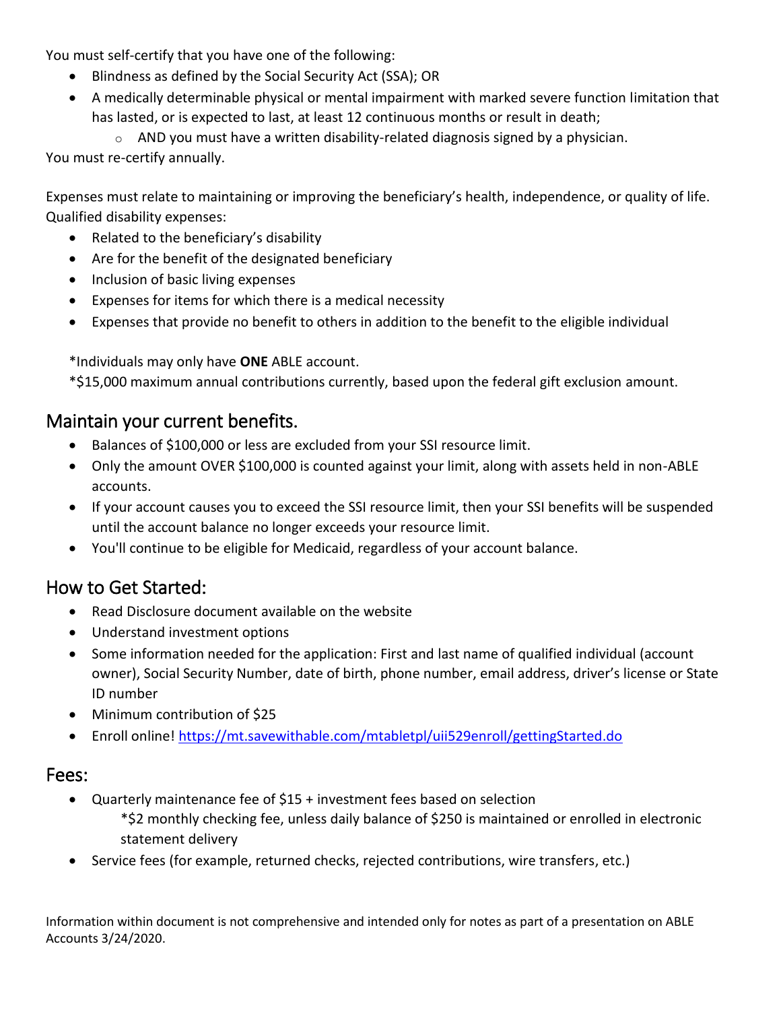You must self-certify that you have one of the following:

- Blindness as defined by the Social Security Act (SSA); OR
- A medically determinable physical or mental impairment with marked severe function limitation that has lasted, or is expected to last, at least 12 continuous months or result in death;

 $\circ$  AND you must have a written disability-related diagnosis signed by a physician.

You must re-certify annually.

Expenses must relate to maintaining or improving the beneficiary's health, independence, or quality of life. Qualified disability expenses:

- Related to the beneficiary's disability
- Are for the benefit of the designated beneficiary
- Inclusion of basic living expenses
- Expenses for items for which there is a medical necessity
- Expenses that provide no benefit to others in addition to the benefit to the eligible individual

\*Individuals may only have **ONE** ABLE account.

\*\$15,000 maximum annual contributions currently, based upon the federal gift exclusion amount.

#### Maintain your current benefits.

- Balances of \$100,000 or less are excluded from your SSI resource limit.
- Only the amount OVER \$100,000 is counted against your limit, along with assets held in non-ABLE accounts.
- If your account causes you to exceed the SSI resource limit, then your SSI benefits will be suspended until the account balance no longer exceeds your resource limit.
- You'll continue to be eligible for Medicaid, regardless of your account balance.

## How to Get Started:

- Read Disclosure document available on the website
- Understand investment options
- Some information needed for the application: First and last name of qualified individual (account owner), Social Security Number, date of birth, phone number, email address, driver's license or State ID number
- Minimum contribution of \$25
- Enroll online!<https://mt.savewithable.com/mtabletpl/uii529enroll/gettingStarted.do>

#### Fees:

- Quarterly maintenance fee of \$15 + investment fees based on selection
	- \*\$2 monthly checking fee, unless daily balance of \$250 is maintained or enrolled in electronic statement delivery
- Service fees (for example, returned checks, rejected contributions, wire transfers, etc.)

Information within document is not comprehensive and intended only for notes as part of a presentation on ABLE Accounts 3/24/2020.